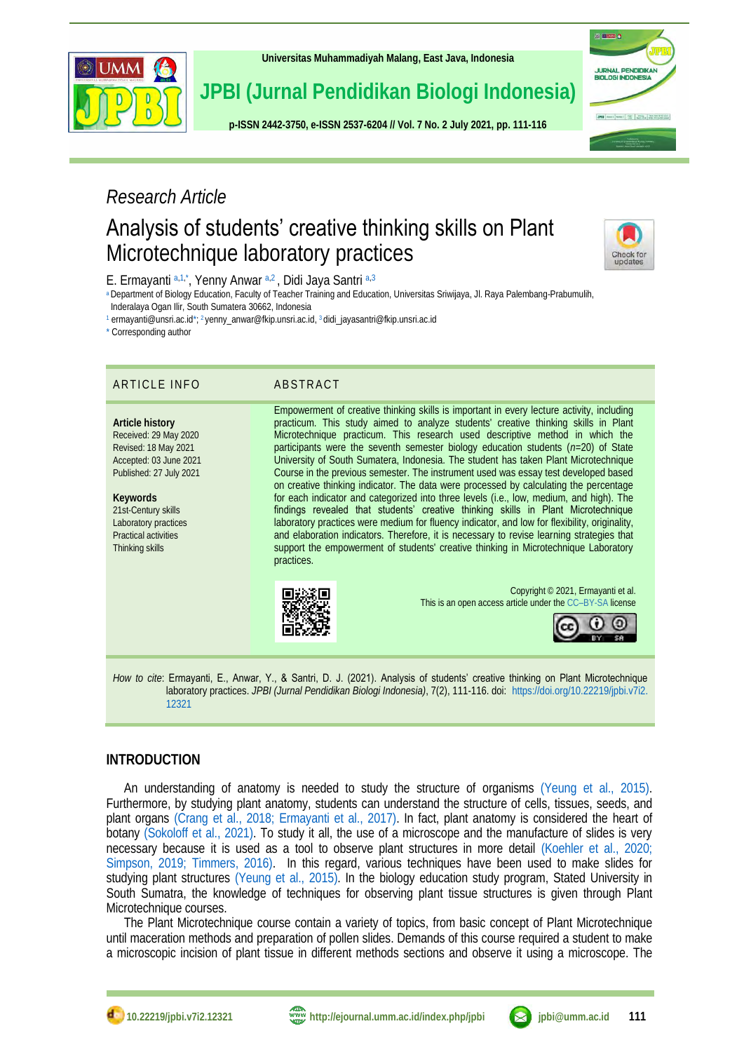

**[Universitas Muhammadiyah Malang,](http://ejournal.umm.ac.id/) East Java, Indonesia**

# **JPBI (Jurnal Pendidikan Biologi Indonesia)**

**p-ISS[N 2442-3750,](http://u.lipi.go.id/1422867894) e-ISSN [2537-6204](http://u.lipi.go.id/1460300524) // Vol. 7 No. 2 July 2021, pp. 111-116**

# *Research Article*

# Analysis of students' creative thinking skills on Plant Microtechnique laboratory practices



**ISLENDO** 

JURNAL PENDIDIKA<br>BIOLOGI INDONESIA

 $J\overline{v} \overline{u} \overline{u} \mid t \longmapsto \overline{t} \text{ and } \overline{v} \overline{u} \overline{u} \mid \frac{t \overline{u} \overline{u} \overline{u}}{t \overline{u} \overline{u}} \mid \frac{t \overline{u} \overline{u} \overline{u} \overline{u}}{u \overline{u} \overline{u} \overline{u} \overline{u} \overline{u}} \mid \frac{t \overline{u} \overline{u} \overline{u} \overline{u} \overline{u} \overline{u} \overline{u} \overline{u} \overline{u} \overline{u$ 

<span id="page-0-10"></span><span id="page-0-6"></span><span id="page-0-5"></span>E. Ermayanti [a,](#page-0-0)[1,](#page-0-1)[\\*](#page-0-2), Yenny Anwar a,[2](#page-0-3), Didi Jaya Santri a,[3](#page-0-4)

<span id="page-0-0"></span>[a](#page-0-5) Department of Biology Education, Faculty of Teacher Training and Education, Universitas Sriwijaya, Jl. Raya Palembang-Prabumulih,

Inderalaya Ogan Ilir, South Sumatera 30662, Indonesia

<span id="page-0-3"></span><span id="page-0-2"></span><span id="page-0-1"></span>[1](#page-0-6) ermayanti@unsri.ac.i[d\\*;](#page-0-7)<sup>2</sup> yenny\_anwar@fkip.unsri.ac.id[,](#page-0-9)  <sup>3</sup> didi\_jayasantri@fkip.unsri.ac.id

<span id="page-0-7"></span>[\\*](#page-0-10) Corresponding author

## ARTICLE INFO ABSTRACT

**Article history** Received: 29 May 2020 Revised: 18 May 2021 Accepted: 03 June 2021 Published: 27 July 2021

**Keywords** 21st-Century skills Laboratory practices Practical activities Thinking skills

<span id="page-0-9"></span><span id="page-0-8"></span><span id="page-0-4"></span>Empowerment of creative thinking skills is important in every lecture activity, including practicum. This study aimed to analyze students' creative thinking skills in Plant Microtechnique practicum. This research used descriptive method in which the participants were the seventh semester biology education students (*n*=20) of State University of South Sumatera, Indonesia. The student has taken Plant Microtechnique Course in the previous semester. The instrument used was essay test developed based on creative thinking indicator. The data were processed by calculating the percentage for each indicator and categorized into three levels (i.e., low, medium, and high). The findings revealed that students' creative thinking skills in Plant Microtechnique laboratory practices were medium for fluency indicator, and low for flexibility, originality, and elaboration indicators. Therefore, it is necessary to revise learning strategies that support the empowerment of students' creative thinking in Microtechnique Laboratory practices.



Copyright © 2021, Ermayanti et al. This is an open access article under the CC–[BY-SA](http://creativecommons.org/licenses/by-sa/4.0/) license



*How to cite*: Ermayanti, E., Anwar, Y., & Santri, D. J. (2021). Analysis of students' creative thinking on Plant Microtechnique laboratory practices. *JPBI (Jurnal Pendidikan Biologi Indonesia)*, 7(2), 111-116. doi: [https://doi.org/10.22219/jpbi.v7i2.](https://doi.org/10.22219/jpbi.v7i2.12321) [12321](https://doi.org/10.22219/jpbi.v7i2.12321)

## **INTRODUCTION**

An understanding of anatomy is needed to study the structure of organisms [\(Yeung et al., 2015\).](#page-5-0) Furthermore, by studying plant anatomy, students can understand the structure of cells, tissues, seeds, and plant organs [\(Crang et al., 2018;](#page-4-0) [Ermayanti et al., 2017\).](#page-4-1) In fact, plant anatomy is considered the heart of botany [\(Sokoloff et al., 2021\).](#page-5-1) To study it all, the use of a microscope and the manufacture of slides is very necessary because it is used as a tool to observe plant structures in more detail [\(Koehler et al., 2020;](#page-4-2) [Simpson, 2019;](#page-5-2) [Timmers, 2016\).](#page-5-3) In this regard, various techniques have been used to make slides for studying plant structures [\(Yeung et al., 2015\).](#page-5-0) In the biology education study program, Stated University in South Sumatra, the knowledge of techniques for observing plant tissue structures is given through Plant Microtechnique courses.

The Plant Microtechnique course contain a variety of topics, from basic concept of Plant Microtechnique until maceration methods and preparation of pollen slides. Demands of this course required a student to make a microscopic incision of plant tissue in different methods sections and observe it using a microscope. The



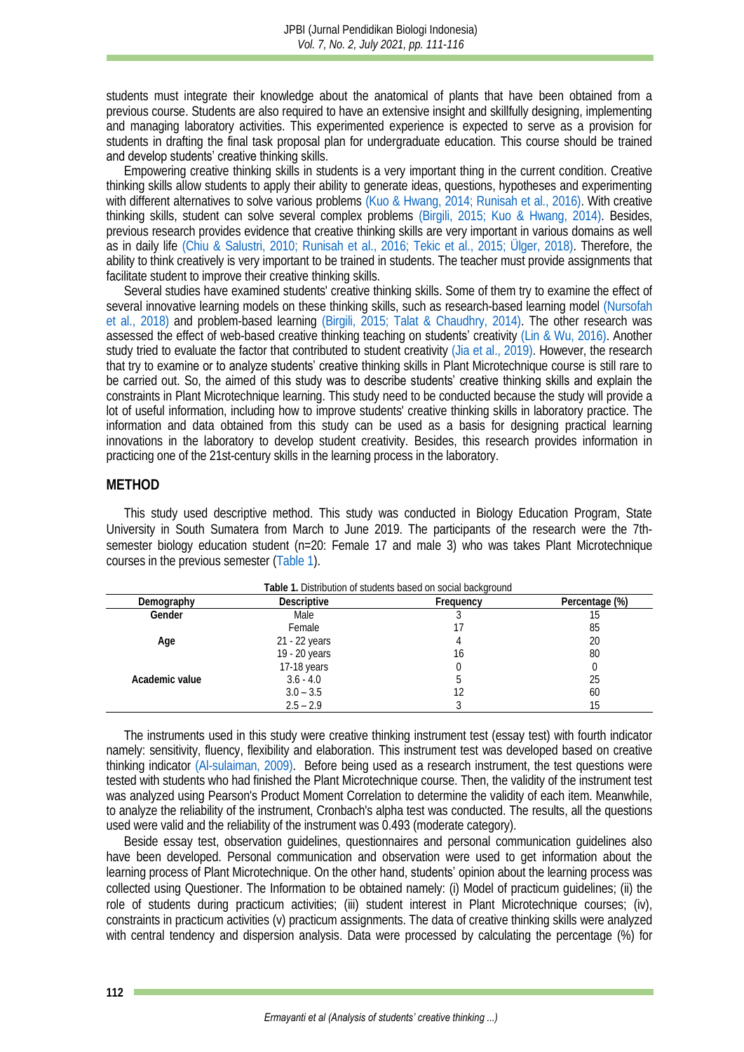students must integrate their knowledge about the anatomical of plants that have been obtained from a previous course. Students are also required to have an extensive insight and skillfully designing, implementing and managing laboratory activities. This experimented experience is expected to serve as a provision for students in drafting the final task proposal plan for undergraduate education. This course should be trained and develop students' creative thinking skills.

Empowering creative thinking skills in students is a very important thing in the current condition. Creative thinking skills allow students to apply their ability to generate ideas, questions, hypotheses and experimenting with different alternatives to solve various problems [\(Kuo & Hwang, 2014;](#page-4-3) [Runisah et al., 2016\).](#page-5-4) With creative thinking skills, student can solve several complex problems [\(Birgili, 2015;](#page-4-4) [Kuo & Hwang, 2014\).](#page-4-3) Besides, previous research provides evidence that creative thinking skills are very important in various domains as well as in daily life [\(Chiu & Salustri, 2010;](#page-4-5) [Runisah et al., 2016;](#page-5-4) [Tekic et al., 2015;](#page-5-5) [Ülger, 2018\).](#page-5-6) Therefore, the ability to think creatively is very important to be trained in students. The teacher must provide assignments that facilitate student to improve their creative thinking skills.

Several studies have examined students' creative thinking skills. Some of them try to examine the effect of several innovative learning models on these thinking skills, such as research-based learning model [\(Nursofah](#page-4-6)  et al., 2018) and problem-based learning [\(Birgili, 2015;](#page-4-4) [Talat & Chaudhry, 2014\).](#page-5-7) The other research was assessed the effect of web-based creative thinking teaching on **students'** creativity [\(Lin & Wu, 2016\).](#page-4-7) Another study tried to evaluate the factor that contributed to student creativity [\(Jia et al., 2019\).](#page-4-8) However, the research that try to examine or to analyze students' creative thinking skills in Plant Microtechnique course is still rare to be carried out. So, the aimed of this study was to describe students' creative thinking skills and explain the constraints in Plant Microtechnique learning. This study need to be conducted because the study will provide a lot of useful information, including how to improve students' creative thinking skills in laboratory practice. The information and data obtained from this study can be used as a basis for designing practical learning innovations in the laboratory to develop student creativity. Besides, this research provides information in practicing one of the 21st-century skills in the learning process in the laboratory.

### **METHOD**

This study used descriptive method. This study was conducted in Biology Education Program, State University in South Sumatera from March to June 2019. The participants of the research were the 7thsemester biology education student (n=20: Female 17 and male 3) who was takes Plant Microtechnique courses in the previous semester [\(Table 1\)](#page-1-0).

<span id="page-1-0"></span>

| Table 1. Distribution of students based on social background |                    |           |                |  |  |
|--------------------------------------------------------------|--------------------|-----------|----------------|--|--|
| Demography                                                   | <b>Descriptive</b> | Frequency | Percentage (%) |  |  |
| Gender                                                       | Male               |           |                |  |  |
|                                                              | Female             |           | 85             |  |  |
| Age                                                          | 21 - 22 years      |           | 20             |  |  |
|                                                              | 19 - 20 years      | 16        | 80             |  |  |
|                                                              | 17-18 years        |           |                |  |  |
| Academic value                                               | $3.6 - 4.0$        |           | 25             |  |  |
|                                                              | $3.0 - 3.5$        |           | 60             |  |  |
|                                                              | $2.5 - 2.9$        |           | 15             |  |  |

**Table 1.** Distribution of students based on social background

The instruments used in this study were creative thinking instrument test (essay test) with fourth indicator namely: sensitivity, fluency, flexibility and elaboration. This instrument test was developed based on creative thinking indicator [\(Al-sulaiman,](#page-4-9) 2009). Before being used as a research instrument, the test questions were tested with students who had finished the Plant Microtechnique course. Then, the validity of the instrument test was analyzed using Pearson's Product Moment Correlation to determine the validity of each item. Meanwhile, to analyze the reliability of the instrument, Cronbach's alpha test was conducted. The results, all the questions used were valid and the reliability of the instrument was 0.493 (moderate category).

Beside essay test, observation guidelines, questionnaires and personal communication guidelines also have been developed. Personal communication and observation were used to get information about the learning process of Plant Microtechnique. On the other hand, students' opinion about the learning process was collected using Questioner. The Information to be obtained namely: (i) Model of practicum guidelines; (ii) the role of students during practicum activities; (iii) student interest in Plant Microtechnique courses; (iv), constraints in practicum activities (v) practicum assignments. The data of creative thinking skills were analyzed with central tendency and dispersion analysis. Data were processed by calculating the percentage (%) for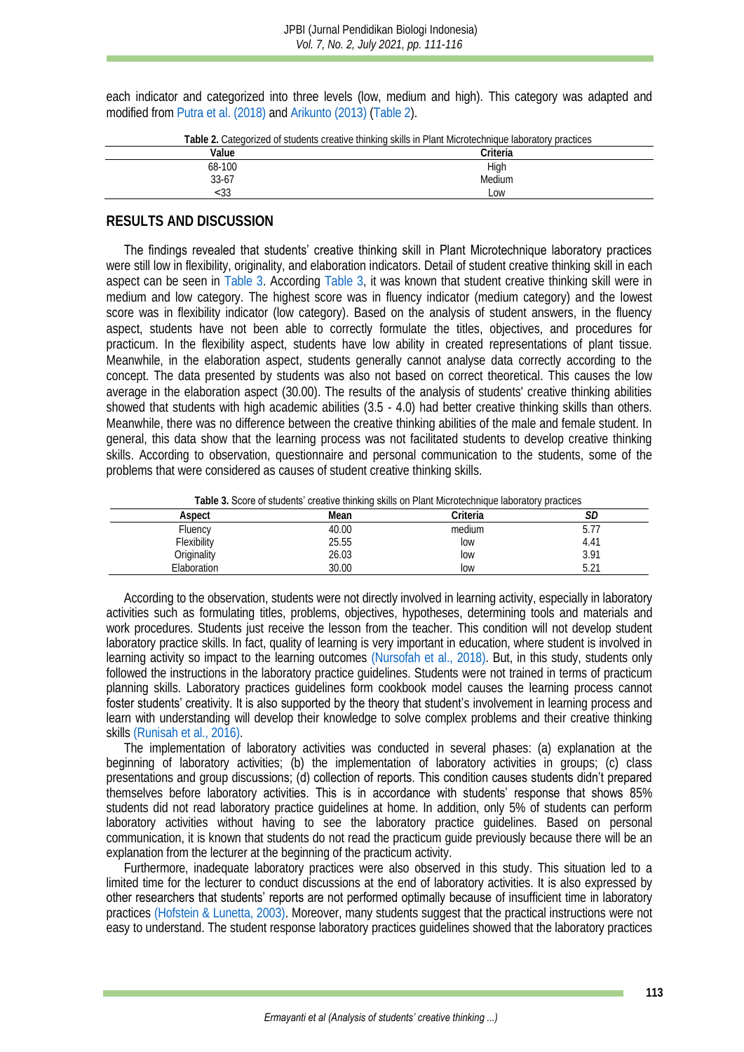each indicator and categorized into three levels (low, medium and high). This category was adapted and modified fro[m Putra et al.](#page-4-10) (2018) an[d Arikunto \(2013\)](#page-4-11) [\(Table 2\)](#page-2-0).

<span id="page-2-0"></span>

| Table 2. Categorized of students creative thinking skills in Plant Microtechnique laboratory practices |          |  |  |  |
|--------------------------------------------------------------------------------------------------------|----------|--|--|--|
| Value                                                                                                  | Criteria |  |  |  |
| 68-100                                                                                                 | High     |  |  |  |
| 33-67                                                                                                  | Medium   |  |  |  |
| 333                                                                                                    | . OW     |  |  |  |
|                                                                                                        |          |  |  |  |

# **RESULTS AND DISCUSSION**

The findings revealed that students' creative thinking skill in Plant Microtechnique laboratory practices were still low in flexibility, originality, and elaboration indicators. Detail of student creative thinking skill in each aspect can be seen in [Table 3.](#page-2-1) According [Table 3,](#page-2-1) it was known that student creative thinking skill were in medium and low category. The highest score was in fluency indicator (medium category) and the lowest score was in flexibility indicator (low category). Based on the analysis of student answers, in the fluency aspect, students have not been able to correctly formulate the titles, objectives, and procedures for practicum. In the flexibility aspect, students have low ability in created representations of plant tissue. Meanwhile, in the elaboration aspect, students generally cannot analyse data correctly according to the concept. The data presented by students was also not based on correct theoretical. This causes the low average in the elaboration aspect (30.00). The results of the analysis of students' creative thinking abilities showed that students with high academic abilities (3.5 - 4.0) had better creative thinking skills than others. Meanwhile, there was no difference between the creative thinking abilities of the male and female student. In general, this data show that the learning process was not facilitated students to develop creative thinking skills. According to observation, questionnaire and personal communication to the students, some of the problems that were considered as causes of student creative thinking skills.

**Table 3.** Score of students' creative thinking skills on Plant Microtechnique laboratory practices

<span id="page-2-1"></span>

| Aspect      | Mean  | ∩riteria i | ◡           |
|-------------|-------|------------|-------------|
| Fluency     | 40.00 | medium     | h.<br>J.I   |
| Flexibility | 25.55 | low        | 4.41        |
| Originality | 26.03 | low        | 3.91        |
| Elaboration | 30.00 | low        | 5 71<br>J.Z |

According to the observation, students were not directly involved in learning activity, especially in laboratory activities such as formulating titles, problems, objectives, hypotheses, determining tools and materials and work procedures. Students just receive the lesson from the teacher. This condition will not develop student laboratory practice skills. In fact, quality of learning is very important in education, where student is involved in learning activity so impact to the learning outcomes [\(Nursofah et al., 2018\).](#page-4-6) But, in this study, students only followed the instructions in the laboratory practice guidelines. Students were not trained in terms of practicum planning skills. Laboratory practices guidelines form cookbook model causes the learning process cannot foster students' creativity. It is also supported by the theory that student's involvement in learning process and learn with understanding will develop their knowledge to solve complex problems and their creative thinking skill[s \(Runisah et al., 2016\).](#page-5-4)

The implementation of laboratory activities was conducted in several phases: (a) explanation at the beginning of laboratory activities; (b) the implementation of laboratory activities in groups; (c) class presentations and group discussions; (d) collection of reports. This condition causes students didn't prepared themselves before laboratory activities. This is in accordance with students' response that shows 85% students did not read laboratory practice guidelines at home. In addition, only 5% of students can perform laboratory activities without having to see the laboratory practice guidelines. Based on personal communication, it is known that students do not read the practicum guide previously because there will be an explanation from the lecturer at the beginning of the practicum activity.

Furthermore, inadequate laboratory practices were also observed in this study. This situation led to a limited time for the lecturer to conduct discussions at the end of laboratory activities. It is also expressed by other researchers that students' reports are not performed optimally because of insufficient time in laboratory practices [\(Hofstein & Lunetta, 2003\).](#page-4-12) Moreover, many students suggest that the practical instructions were not easy to understand. The student response laboratory practices guidelines showed that the laboratory practices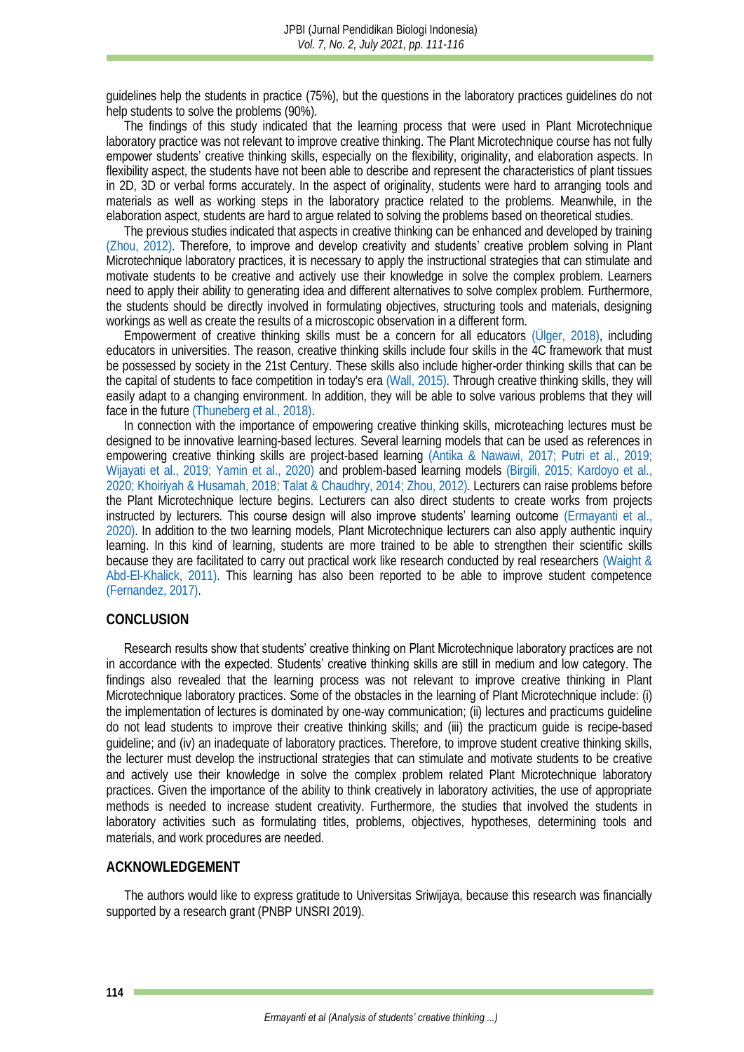guidelines help the students in practice (75%), but the questions in the laboratory practices guidelines do not help students to solve the problems (90%).

The findings of this study indicated that the learning process that were used in Plant Microtechnique laboratory practice was not relevant to improve creative thinking. The Plant Microtechnique course has not fully **empower students'** creative thinking skills, especially on the flexibility, originality, and elaboration aspects. In flexibility aspect, the students have not been able to describe and represent the characteristics of plant tissues in 2D, 3D or verbal forms accurately. In the aspect of originality, students were hard to arranging tools and materials as well as working steps in the laboratory practice related to the problems. Meanwhile, in the elaboration aspect, students are hard to argue related to solving the problems based on theoretical studies.

The previous studies indicated that aspects in creative thinking can be enhanced and developed by training [\(Zhou, 2012\)](#page-5-8). Therefore, to improve and develop creativity and students' creative problem solving in Plant Microtechnique laboratory practices, it is necessary to apply the instructional strategies that can stimulate and motivate students to be creative and actively use their knowledge in solve the complex problem. Learners need to apply their ability to generating idea and different alternatives to solve complex problem. Furthermore, the students should be directly involved in formulating objectives, structuring tools and materials, designing workings as well as create the results of a microscopic observation in a different form.

Empowerment of creative thinking skills must be a concern for all educators [\(Ülger, 2018\),](#page-5-6) including educators in universities. The reason, creative thinking skills include four skills in the 4C framework that must be possessed by society in the 21st Century. These skills also include higher-order thinking skills that can be the capital of students to face competition in today's era [\(Wall, 2015\).](#page-5-9) Through creative thinking skills, they will easily adapt to a changing environment. In addition, they will be able to solve various problems that they will face in the future [\(Thuneberg et al., 2018\).](#page-5-10)

In connection with the importance of empowering creative thinking skills, microteaching lectures must be designed to be innovative learning-based lectures. Several learning models that can be used as references in empowering creative thinking skills are project-based learning [\(Antika & Nawawi, 2017;](#page-4-13) [Putri et al., 2019;](#page-4-14) [Wijayati et al., 2019;](#page-5-11) [Yamin et al., 2020\)](#page-5-12) and problem-based learning models [\(Birgili, 2015;](#page-4-4) [Kardoyo et al.,](#page-4-15)  [2020;](#page-4-15) [Khoiriyah & Husamah, 2018;](#page-4-16) [Talat & Chaudhry, 2014;](#page-5-7) [Zhou, 2012\).](#page-5-8) Lecturers can raise problems before the Plant Microtechnique lecture begins. Lecturers can also direct students to create works from projects instructed by lecturers. This course design will also improve students' learning outcome (Ermayanti et al., 2020). In addition to the two learning models, Plant Microtechnique lecturers can also apply authentic inquiry learning. In this kind of learning, students are more trained to be able to strengthen their scientific skills because they are facilitated to carry out practical work like research conducted by real researchers [\(Waight &](#page-5-13)  Abd-El-Khalick, 2011). This learning has also been reported to be able to improve student competence [\(Fernandez, 2017\).](#page-4-18)

#### **CONCLUSION**

Research results show that students' creative thinking on Plant Microtechnique laboratory practices are not in accordance with the expected. Students' creative thinking skills are still in medium and low category. The findings also revealed that the learning process was not relevant to improve creative thinking in Plant Microtechnique laboratory practices. Some of the obstacles in the learning of Plant Microtechnique include: (i) the implementation of lectures is dominated by one-way communication; (ii) lectures and practicums guideline do not lead students to improve their creative thinking skills; and (iii) the practicum guide is recipe-based guideline; and (iv) an inadequate of laboratory practices. Therefore, to improve student creative thinking skills, the lecturer must develop the instructional strategies that can stimulate and motivate students to be creative and actively use their knowledge in solve the complex problem related Plant Microtechnique laboratory practices. Given the importance of the ability to think creatively in laboratory activities, the use of appropriate methods is needed to increase student creativity. Furthermore, the studies that involved the students in laboratory activities such as formulating titles, problems, objectives, hypotheses, determining tools and materials, and work procedures are needed.

#### **ACKNOWLEDGEMENT**

The authors would like to express gratitude to Universitas Sriwijaya, because this research was financially supported by a research grant (PNBP UNSRI 2019).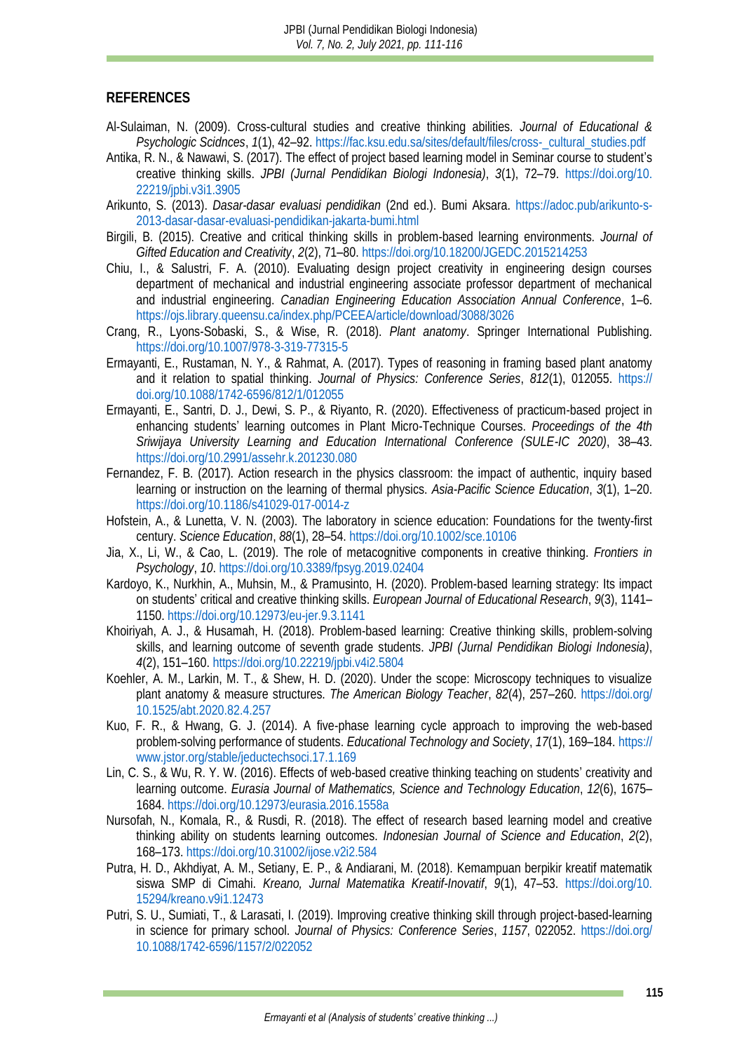## **REFERENCES**

- <span id="page-4-9"></span>Al-Sulaiman, N. (2009). Cross-cultural studies and creative thinking abilities. *Journal of Educational & Psychologic Scidnces*, *1*(1), 42–92. [https://fac.ksu.edu.sa/sites/default/files/cross-\\_cultural\\_studies.pdf](https://fac.ksu.edu.sa/sites/default/files/cross-_cultural_studies.pdf)
- <span id="page-4-13"></span>Antika, R. N., & Nawawi, S. (2017). The effect of project based learning model in Seminar course to student's creative thinking skills. *JPBI (Jurnal Pendidikan Biologi Indonesia)*, *3*(1), 72–79. [https://doi.org/10.](https://doi.org/10.22219/jpbi.v3i1.3905) [22219/jpbi.v3i1.3905](https://doi.org/10.22219/jpbi.v3i1.3905)
- <span id="page-4-11"></span>Arikunto, S. (2013). *Dasar-dasar evaluasi pendidikan* (2nd ed.). Bumi Aksara. [https://adoc.pub/arikunto-s-](https://adoc.pub/arikunto-s-2013-dasar-dasar-evaluasi-pendidikan-jakarta-bumi.html)[2013-dasar-dasar-evaluasi-pendidikan-jakarta-bumi.html](https://adoc.pub/arikunto-s-2013-dasar-dasar-evaluasi-pendidikan-jakarta-bumi.html)
- <span id="page-4-4"></span>Birgili, B. (2015). Creative and critical thinking skills in problem-based learning environments. *Journal of Gifted Education and Creativity*, *2*(2), 71–80[. https://doi.org/10.18200/JGEDC.2015214253](https://doi.org/10.18200/JGEDC.2015214253)
- <span id="page-4-5"></span>Chiu, I., & Salustri, F. A. (2010). Evaluating design project creativity in engineering design courses department of mechanical and industrial engineering associate professor department of mechanical and industrial engineering. *Canadian Engineering Education Association Annual Conference*, 1–6. <https://ojs.library.queensu.ca/index.php/PCEEA/article/download/3088/3026>
- <span id="page-4-0"></span>Crang, R., Lyons-Sobaski, S., & Wise, R. (2018). *Plant anatomy*. Springer International Publishing. <https://doi.org/10.1007/978-3-319-77315-5>
- <span id="page-4-1"></span>Ermayanti, E., Rustaman, N. Y., & Rahmat, A. (2017). Types of reasoning in framing based plant anatomy and it relation to spatial thinking. *Journal of Physics: Conference Series*, *812*(1), 012055. [https://](https://doi.org/10.1088/1742-6596/812/1/012055) [doi.org/10.1088/1742-6596/812/1/012055](https://doi.org/10.1088/1742-6596/812/1/012055)
- <span id="page-4-17"></span>Ermayanti, E., Santri, D. J., Dewi, S. P., & Riyanto, R. (2020). Effectiveness of practicum-based project in enhancing students' learning outcomes in Plant Micro-Technique Courses. *Proceedings of the 4th Sriwijaya University Learning and Education International Conference (SULE-IC 2020)*, 38–43. <https://doi.org/10.2991/assehr.k.201230.080>
- <span id="page-4-18"></span>Fernandez, F. B. (2017). Action research in the physics classroom: the impact of authentic, inquiry based learning or instruction on the learning of thermal physics. *Asia-Pacific Science Education*, *3*(1), 1–20. <https://doi.org/10.1186/s41029-017-0014-z>
- <span id="page-4-12"></span>Hofstein, A., & Lunetta, V. N. (2003). The laboratory in science education: Foundations for the twenty-first century. *Science Education*, *88*(1), 28–54[. https://doi.org/10.1002/sce.10106](https://doi.org/10.1002/sce.10106)
- <span id="page-4-8"></span>Jia, X., Li, W., & Cao, L. (2019). The role of metacognitive components in creative thinking. *Frontiers in Psychology*, *10*.<https://doi.org/10.3389/fpsyg.2019.02404>
- <span id="page-4-15"></span>Kardoyo, K., Nurkhin, A., Muhsin, M., & Pramusinto, H. (2020). Problem-based learning strategy: Its impact on students' critical and creative thinking skills. *European Journal of Educational Research*, *9*(3), 1141– 1150.<https://doi.org/10.12973/eu-jer.9.3.1141>
- <span id="page-4-16"></span>Khoiriyah, A. J., & Husamah, H. (2018). Problem-based learning: Creative thinking skills, problem-solving skills, and learning outcome of seventh grade students. *JPBI (Jurnal Pendidikan Biologi Indonesia)*, *4*(2), 151–160.<https://doi.org/10.22219/jpbi.v4i2.5804>
- <span id="page-4-2"></span>Koehler, A. M., Larkin, M. T., & Shew, H. D. (2020). Under the scope: Microscopy techniques to visualize plant anatomy & measure structures. *The American Biology Teacher*, *82*(4), 257–260. [https://doi.org/](https://doi.org/10.1525/abt.2020.82.4.257) [10.1525/abt.2020.82.4.257](https://doi.org/10.1525/abt.2020.82.4.257)
- <span id="page-4-3"></span>Kuo, F. R., & Hwang, G. J. (2014). A five-phase learning cycle approach to improving the web-based problem-solving performance of students. *Educational Technology and Society*, *17*(1), 169–184. [https://](https://www.jstor.org/stable/jeductechsoci.17.1.169) [www.jstor.org/stable/jeductechsoci.17.1.169](https://www.jstor.org/stable/jeductechsoci.17.1.169)
- <span id="page-4-7"></span>Lin, C. S., & Wu, R. Y. W. (2016). Effects of web-based creative thinking teaching on students' creativity and learning outcome. *Eurasia Journal of Mathematics, Science and Technology Education*, *12*(6), 1675– 1684.<https://doi.org/10.12973/eurasia.2016.1558a>
- <span id="page-4-6"></span>Nursofah, N., Komala, R., & Rusdi, R. (2018). The effect of research based learning model and creative thinking ability on students learning outcomes. *Indonesian Journal of Science and Education*, *2*(2), 168–173.<https://doi.org/10.31002/ijose.v2i2.584>
- <span id="page-4-10"></span>Putra, H. D., Akhdiyat, A. M., Setiany, E. P., & Andiarani, M. (2018). Kemampuan berpikir kreatif matematik siswa SMP di Cimahi. *Kreano, Jurnal Matematika Kreatif-Inovatif*, *9*(1), 47–53. [https://doi.org/10.](https://doi.org/10.15294/kreano.v9i1.12473) [15294/kreano.v9i1.12473](https://doi.org/10.15294/kreano.v9i1.12473)
- <span id="page-4-14"></span>Putri, S. U., Sumiati, T., & Larasati, I. (2019). Improving creative thinking skill through project-based-learning in science for primary school. *Journal of Physics: Conference Series*, *1157*, 022052. [https://doi.org/](https://doi.org/10.1088/1742-6596/1157/2/022052) [10.1088/1742-6596/1157/2/022052](https://doi.org/10.1088/1742-6596/1157/2/022052)